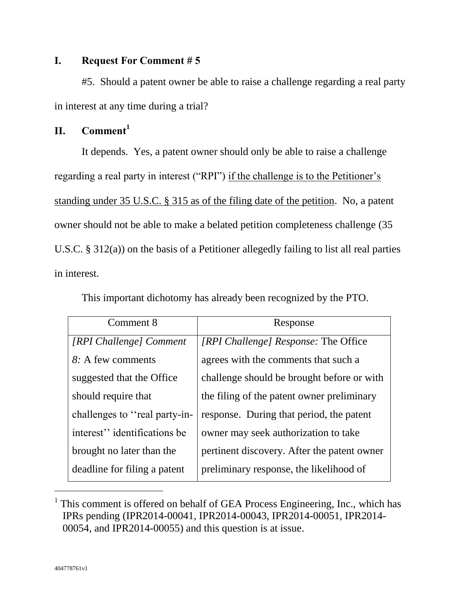## **I. Request For Comment # 5**

#5. Should a patent owner be able to raise a challenge regarding a real party in interest at any time during a trial?

# **II. Comment<sup>1</sup>**

It depends. Yes, a patent owner should only be able to raise a challenge regarding a real party in interest ("RPI") if the challenge is to the Petitioner's standing under 35 U.S.C. § 315 as of the filing date of the petition. No, a patent owner should not be able to make a belated petition completeness challenge (35 U.S.C. § 312(a)) on the basis of a Petitioner allegedly failing to list all real parties in interest.

| Comment 8                     | Response                                    |
|-------------------------------|---------------------------------------------|
| [RPI Challenge] Comment       | <i>[RPI Challenge] Response: The Office</i> |
| 8: A few comments             | agrees with the comments that such a        |
| suggested that the Office     | challenge should be brought before or with  |
| should require that           | the filing of the patent owner preliminary  |
| challenges to "real party-in- | response. During that period, the patent    |
| interest" identifications be  | owner may seek authorization to take        |
| brought no later than the     | pertinent discovery. After the patent owner |
| deadline for filing a patent  | preliminary response, the likelihood of     |

This important dichotomy has already been recognized by the PTO.

 $\overline{a}$ 

<sup>&</sup>lt;sup>1</sup> This comment is offered on behalf of GEA Process Engineering, Inc., which has IPRs pending (IPR2014-00041, IPR2014-00043, IPR2014-00051, IPR2014- 00054, and IPR2014-00055) and this question is at issue.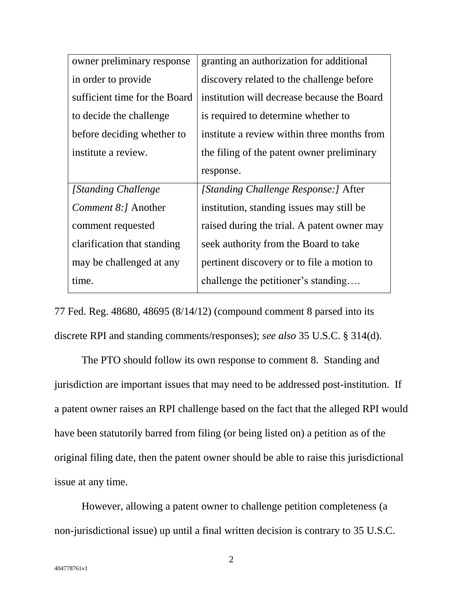| granting an authorization for additional    |
|---------------------------------------------|
| discovery related to the challenge before   |
| institution will decrease because the Board |
| is required to determine whether to         |
| institute a review within three months from |
| the filing of the patent owner preliminary  |
| response.                                   |
| [Standing Challenge Response:] After        |
| institution, standing issues may still be   |
| raised during the trial. A patent owner may |
| seek authority from the Board to take       |
| pertinent discovery or to file a motion to  |
|                                             |
|                                             |

77 Fed. Reg. 48680, 48695 (8/14/12) (compound comment 8 parsed into its discrete RPI and standing comments/responses); *see also* 35 U.S.C. § 314(d).

The PTO should follow its own response to comment 8. Standing and jurisdiction are important issues that may need to be addressed post-institution. If a patent owner raises an RPI challenge based on the fact that the alleged RPI would have been statutorily barred from filing (or being listed on) a petition as of the original filing date, then the patent owner should be able to raise this jurisdictional issue at any time.

However, allowing a patent owner to challenge petition completeness (a non-jurisdictional issue) up until a final written decision is contrary to 35 U.S.C.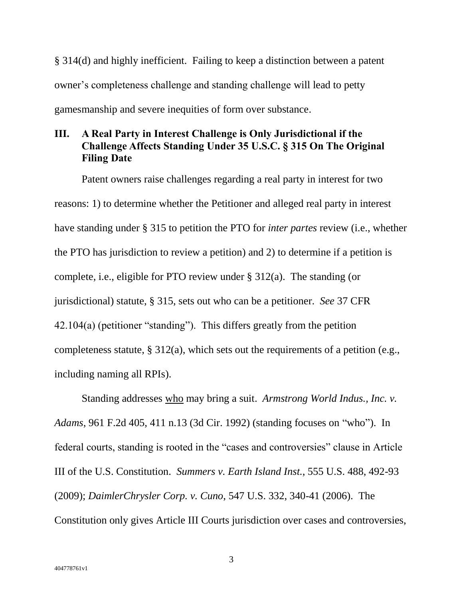§ 314(d) and highly inefficient. Failing to keep a distinction between a patent owner's completeness challenge and standing challenge will lead to petty gamesmanship and severe inequities of form over substance.

## **III. A Real Party in Interest Challenge is Only Jurisdictional if the Challenge Affects Standing Under 35 U.S.C. § 315 On The Original Filing Date**

Patent owners raise challenges regarding a real party in interest for two reasons: 1) to determine whether the Petitioner and alleged real party in interest have standing under § 315 to petition the PTO for *inter partes* review (i.e., whether the PTO has jurisdiction to review a petition) and 2) to determine if a petition is complete, i.e., eligible for PTO review under § 312(a). The standing (or jurisdictional) statute, § 315, sets out who can be a petitioner. *See* 37 CFR 42.104(a) (petitioner "standing"). This differs greatly from the petition completeness statute, § 312(a), which sets out the requirements of a petition (e.g., including naming all RPIs).

Standing addresses who may bring a suit. *Armstrong World Indus., Inc. v. Adams*, 961 F.2d 405, 411 n.13 (3d Cir. 1992) (standing focuses on "who"). In federal courts, standing is rooted in the "cases and controversies" clause in Article III of the U.S. Constitution. *Summers v. Earth Island Inst.*, 555 U.S. 488, 492-93 (2009); *DaimlerChrysler Corp. v. Cuno*, 547 U.S. 332, 340-41 (2006). The Constitution only gives Article III Courts jurisdiction over cases and controversies,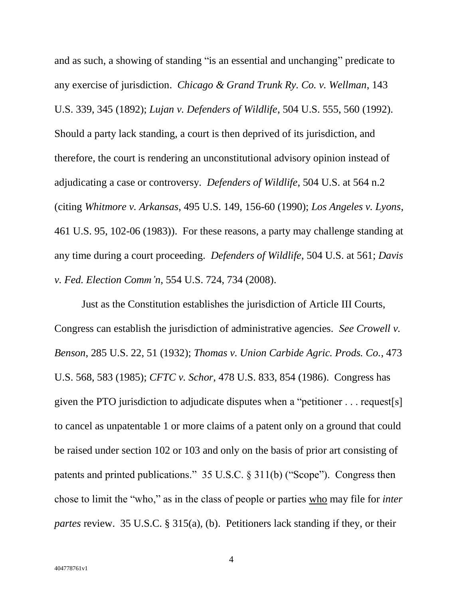and as such, a showing of standing "is an essential and unchanging" predicate to any exercise of jurisdiction. *Chicago & Grand Trunk Ry. Co. v. Wellman*, 143 U.S. 339, 345 (1892); *Lujan v. Defenders of Wildlife*, 504 U.S. 555, 560 (1992). Should a party lack standing, a court is then deprived of its jurisdiction, and therefore, the court is rendering an unconstitutional advisory opinion instead of adjudicating a case or controversy. *Defenders of Wildlife*, 504 U.S. at 564 n.2 (citing *Whitmore v. Arkansas*, 495 U.S. 149, 156-60 (1990); *Los Angeles v. Lyons*, 461 U.S. 95, 102-06 (1983)). For these reasons, a party may challenge standing at any time during a court proceeding. *Defenders of Wildlife*, 504 U.S. at 561; *Davis v. Fed. Election Comm'n*, 554 U.S. 724, 734 (2008).

Just as the Constitution establishes the jurisdiction of Article III Courts, Congress can establish the jurisdiction of administrative agencies. *See Crowell v. Benson*, 285 U.S. 22, 51 (1932); *Thomas v. Union Carbide Agric. Prods. Co.*, 473 U.S. 568, 583 (1985); *CFTC v. Schor*, 478 U.S. 833, 854 (1986). Congress has given the PTO jurisdiction to adjudicate disputes when a "petitioner . . . request[s] to cancel as unpatentable 1 or more claims of a patent only on a ground that could be raised under section 102 or 103 and only on the basis of prior art consisting of patents and printed publications." 35 U.S.C. § 311(b) ("Scope"). Congress then chose to limit the "who," as in the class of people or parties who may file for *inter partes* review. 35 U.S.C. § 315(a), (b). Petitioners lack standing if they, or their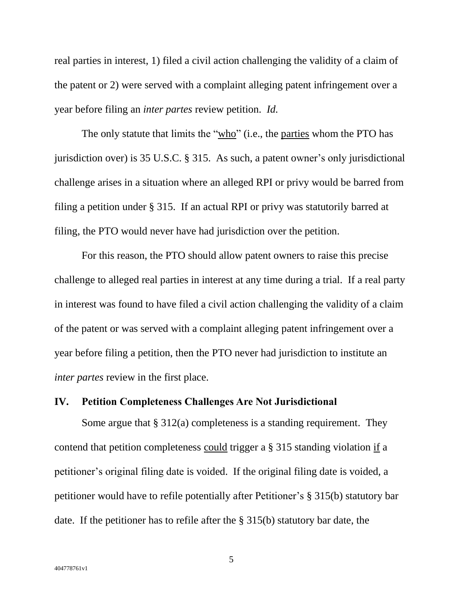real parties in interest, 1) filed a civil action challenging the validity of a claim of the patent or 2) were served with a complaint alleging patent infringement over a year before filing an *inter partes* review petition. *Id.*

The only statute that limits the "who" (i.e., the parties whom the PTO has jurisdiction over) is 35 U.S.C. § 315. As such, a patent owner's only jurisdictional challenge arises in a situation where an alleged RPI or privy would be barred from filing a petition under § 315. If an actual RPI or privy was statutorily barred at filing, the PTO would never have had jurisdiction over the petition.

For this reason, the PTO should allow patent owners to raise this precise challenge to alleged real parties in interest at any time during a trial. If a real party in interest was found to have filed a civil action challenging the validity of a claim of the patent or was served with a complaint alleging patent infringement over a year before filing a petition, then the PTO never had jurisdiction to institute an *inter partes* review in the first place.

### **IV. Petition Completeness Challenges Are Not Jurisdictional**

Some argue that § 312(a) completeness is a standing requirement. They contend that petition completeness could trigger a § 315 standing violation if a petitioner's original filing date is voided. If the original filing date is voided, a petitioner would have to refile potentially after Petitioner's § 315(b) statutory bar date. If the petitioner has to refile after the § 315(b) statutory bar date, the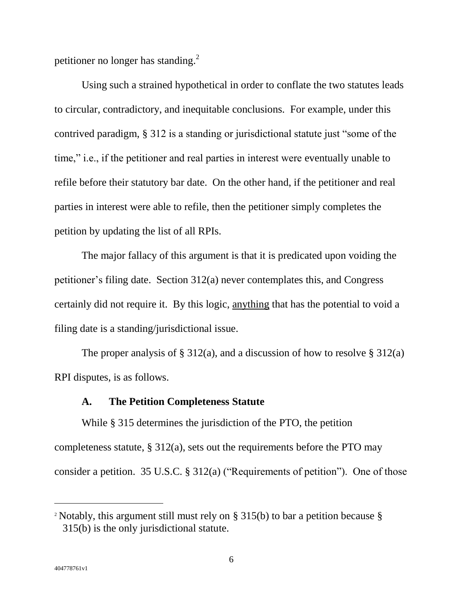petitioner no longer has standing.<sup>2</sup>

Using such a strained hypothetical in order to conflate the two statutes leads to circular, contradictory, and inequitable conclusions. For example, under this contrived paradigm, § 312 is a standing or jurisdictional statute just "some of the time," i.e., if the petitioner and real parties in interest were eventually unable to refile before their statutory bar date. On the other hand, if the petitioner and real parties in interest were able to refile, then the petitioner simply completes the petition by updating the list of all RPIs.

The major fallacy of this argument is that it is predicated upon voiding the petitioner's filing date. Section 312(a) never contemplates this, and Congress certainly did not require it. By this logic, anything that has the potential to void a filing date is a standing/jurisdictional issue.

The proper analysis of § 312(a), and a discussion of how to resolve § 312(a) RPI disputes, is as follows.

### **A. The Petition Completeness Statute**

While § 315 determines the jurisdiction of the PTO, the petition completeness statute,  $\S 312(a)$ , sets out the requirements before the PTO may consider a petition. 35 U.S.C. § 312(a) ("Requirements of petition"). One of those

 $\overline{a}$ 

<sup>&</sup>lt;sup>2</sup> Notably, this argument still must rely on § 315(b) to bar a petition because § 315(b) is the only jurisdictional statute.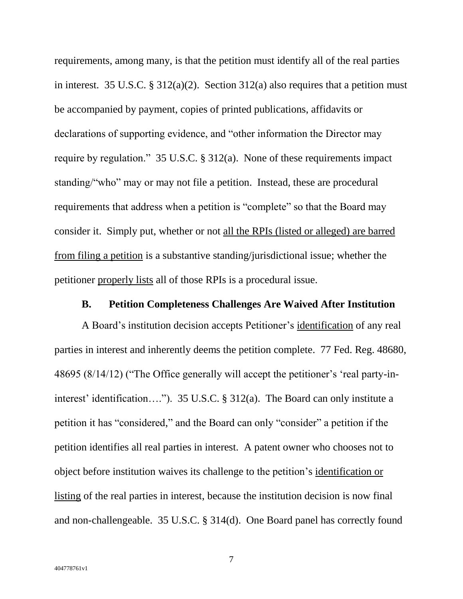requirements, among many, is that the petition must identify all of the real parties in interest. 35 U.S.C. § 312(a)(2). Section 312(a) also requires that a petition must be accompanied by payment, copies of printed publications, affidavits or declarations of supporting evidence, and "other information the Director may require by regulation." 35 U.S.C. § 312(a). None of these requirements impact standing/"who" may or may not file a petition. Instead, these are procedural requirements that address when a petition is "complete" so that the Board may consider it. Simply put, whether or not all the RPIs (listed or alleged) are barred from filing a petition is a substantive standing/jurisdictional issue; whether the petitioner properly lists all of those RPIs is a procedural issue.

#### **B. Petition Completeness Challenges Are Waived After Institution**

A Board's institution decision accepts Petitioner's identification of any real parties in interest and inherently deems the petition complete. 77 Fed. Reg. 48680, 48695 (8/14/12) ("The Office generally will accept the petitioner's 'real party-ininterest' identification…."). 35 U.S.C. § 312(a). The Board can only institute a petition it has "considered," and the Board can only "consider" a petition if the petition identifies all real parties in interest. A patent owner who chooses not to object before institution waives its challenge to the petition's identification or listing of the real parties in interest, because the institution decision is now final and non-challengeable. 35 U.S.C. § 314(d). One Board panel has correctly found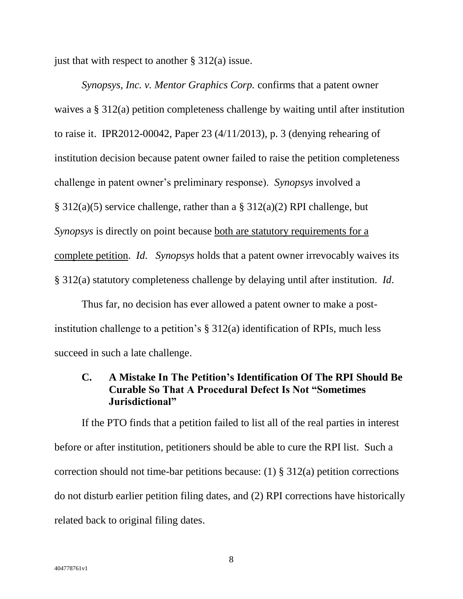just that with respect to another  $\S 312(a)$  issue.

*Synopsys, Inc. v. Mentor Graphics Corp.* confirms that a patent owner waives a § 312(a) petition completeness challenge by waiting until after institution to raise it. IPR2012-00042, Paper 23 (4/11/2013), p. 3 (denying rehearing of institution decision because patent owner failed to raise the petition completeness challenge in patent owner's preliminary response). *Synopsys* involved a § 312(a)(5) service challenge, rather than a § 312(a)(2) RPI challenge, but *Synopsys* is directly on point because both are statutory requirements for a complete petition. *Id*. *Synopsys* holds that a patent owner irrevocably waives its § 312(a) statutory completeness challenge by delaying until after institution. *Id*.

Thus far, no decision has ever allowed a patent owner to make a postinstitution challenge to a petition's § 312(a) identification of RPIs, much less succeed in such a late challenge.

### **C. A Mistake In The Petition's Identification Of The RPI Should Be Curable So That A Procedural Defect Is Not "Sometimes Jurisdictional"**

If the PTO finds that a petition failed to list all of the real parties in interest before or after institution, petitioners should be able to cure the RPI list. Such a correction should not time-bar petitions because: (1) § 312(a) petition corrections do not disturb earlier petition filing dates, and (2) RPI corrections have historically related back to original filing dates.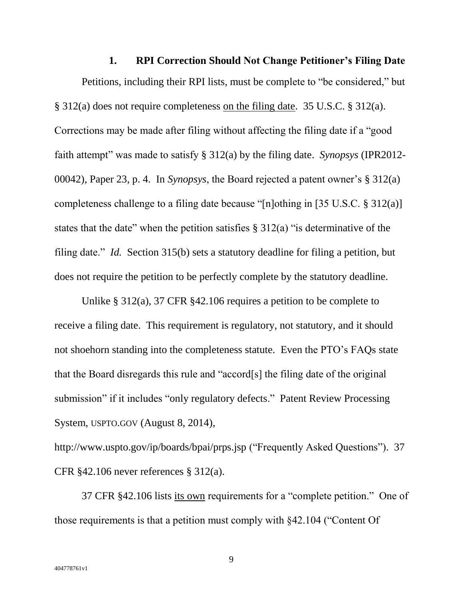**1. RPI Correction Should Not Change Petitioner's Filing Date** Petitions, including their RPI lists, must be complete to "be considered," but § 312(a) does not require completeness on the filing date. 35 U.S.C. § 312(a). Corrections may be made after filing without affecting the filing date if a "good faith attempt" was made to satisfy § 312(a) by the filing date. *Synopsys* (IPR2012- 00042), Paper 23, p. 4. In *Synopsys*, the Board rejected a patent owner's § 312(a) completeness challenge to a filing date because "[n]othing in [35 U.S.C. § 312(a)] states that the date" when the petition satisfies  $\S 312(a)$  "is determinative of the filing date." *Id.* Section 315(b) sets a statutory deadline for filing a petition, but does not require the petition to be perfectly complete by the statutory deadline.

Unlike § 312(a), 37 CFR §42.106 requires a petition to be complete to receive a filing date. This requirement is regulatory, not statutory, and it should not shoehorn standing into the completeness statute. Even the PTO's FAQs state that the Board disregards this rule and "accord[s] the filing date of the original submission" if it includes "only regulatory defects." Patent Review Processing System, USPTO.GOV (August 8, 2014),

http://www.uspto.gov/ip/boards/bpai/prps.jsp ("Frequently Asked Questions"). 37 CFR §42.106 never references § 312(a).

37 CFR §42.106 lists its own requirements for a "complete petition." One of those requirements is that a petition must comply with §42.104 ("Content Of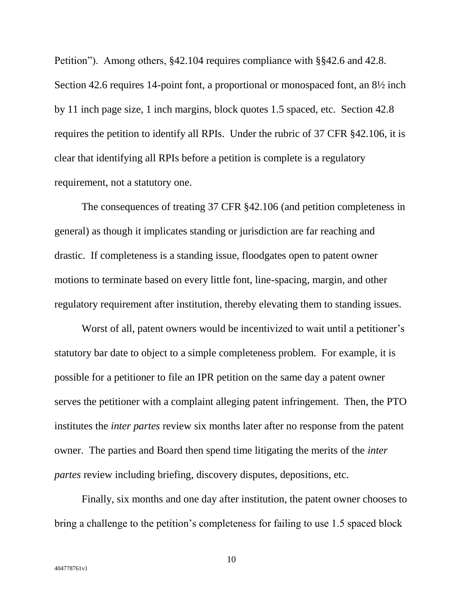Petition"). Among others, §42.104 requires compliance with §§42.6 and 42.8. Section 42.6 requires 14-point font, a proportional or monospaced font, an 8½ inch by 11 inch page size, 1 inch margins, block quotes 1.5 spaced, etc. Section 42.8 requires the petition to identify all RPIs. Under the rubric of 37 CFR §42.106, it is clear that identifying all RPIs before a petition is complete is a regulatory requirement, not a statutory one.

The consequences of treating 37 CFR §42.106 (and petition completeness in general) as though it implicates standing or jurisdiction are far reaching and drastic. If completeness is a standing issue, floodgates open to patent owner motions to terminate based on every little font, line-spacing, margin, and other regulatory requirement after institution, thereby elevating them to standing issues.

Worst of all, patent owners would be incentivized to wait until a petitioner's statutory bar date to object to a simple completeness problem. For example, it is possible for a petitioner to file an IPR petition on the same day a patent owner serves the petitioner with a complaint alleging patent infringement. Then, the PTO institutes the *inter partes* review six months later after no response from the patent owner. The parties and Board then spend time litigating the merits of the *inter partes* review including briefing, discovery disputes, depositions, etc.

Finally, six months and one day after institution, the patent owner chooses to bring a challenge to the petition's completeness for failing to use 1.5 spaced block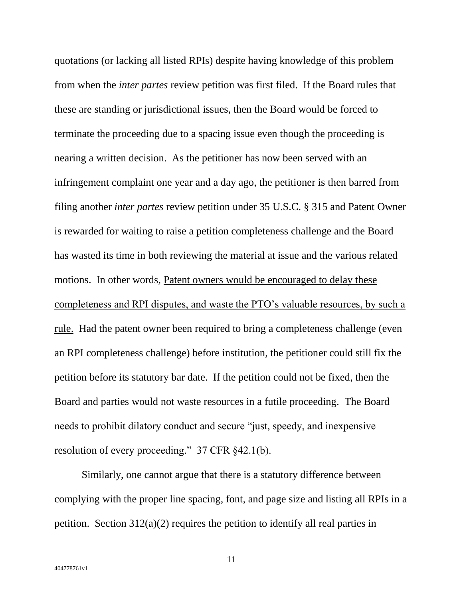quotations (or lacking all listed RPIs) despite having knowledge of this problem from when the *inter partes* review petition was first filed. If the Board rules that these are standing or jurisdictional issues, then the Board would be forced to terminate the proceeding due to a spacing issue even though the proceeding is nearing a written decision. As the petitioner has now been served with an infringement complaint one year and a day ago, the petitioner is then barred from filing another *inter partes* review petition under 35 U.S.C. § 315 and Patent Owner is rewarded for waiting to raise a petition completeness challenge and the Board has wasted its time in both reviewing the material at issue and the various related motions. In other words, Patent owners would be encouraged to delay these completeness and RPI disputes, and waste the PTO's valuable resources, by such a rule. Had the patent owner been required to bring a completeness challenge (even an RPI completeness challenge) before institution, the petitioner could still fix the petition before its statutory bar date. If the petition could not be fixed, then the Board and parties would not waste resources in a futile proceeding. The Board needs to prohibit dilatory conduct and secure "just, speedy, and inexpensive resolution of every proceeding." 37 CFR §42.1(b).

Similarly, one cannot argue that there is a statutory difference between complying with the proper line spacing, font, and page size and listing all RPIs in a petition. Section 312(a)(2) requires the petition to identify all real parties in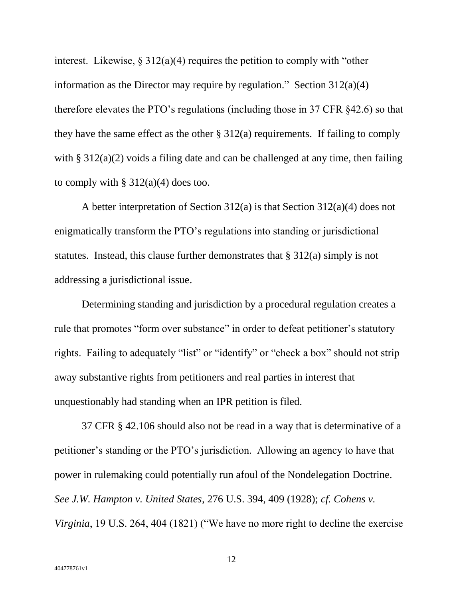interest. Likewise,  $\S 312(a)(4)$  requires the petition to comply with "other" information as the Director may require by regulation." Section  $312(a)(4)$ therefore elevates the PTO's regulations (including those in 37 CFR §42.6) so that they have the same effect as the other  $\S 312(a)$  requirements. If failing to comply with § 312(a)(2) voids a filing date and can be challenged at any time, then failing to comply with  $\S 312(a)(4)$  does too.

A better interpretation of Section 312(a) is that Section 312(a)(4) does not enigmatically transform the PTO's regulations into standing or jurisdictional statutes. Instead, this clause further demonstrates that § 312(a) simply is not addressing a jurisdictional issue.

Determining standing and jurisdiction by a procedural regulation creates a rule that promotes "form over substance" in order to defeat petitioner's statutory rights. Failing to adequately "list" or "identify" or "check a box" should not strip away substantive rights from petitioners and real parties in interest that unquestionably had standing when an IPR petition is filed.

37 CFR § 42.106 should also not be read in a way that is determinative of a petitioner's standing or the PTO's jurisdiction. Allowing an agency to have that power in rulemaking could potentially run afoul of the Nondelegation Doctrine. *See J.W. Hampton v. United States*, 276 U.S. 394, 409 (1928); *cf. Cohens v. Virginia*, 19 U.S. 264, 404 (1821) ("We have no more right to decline the exercise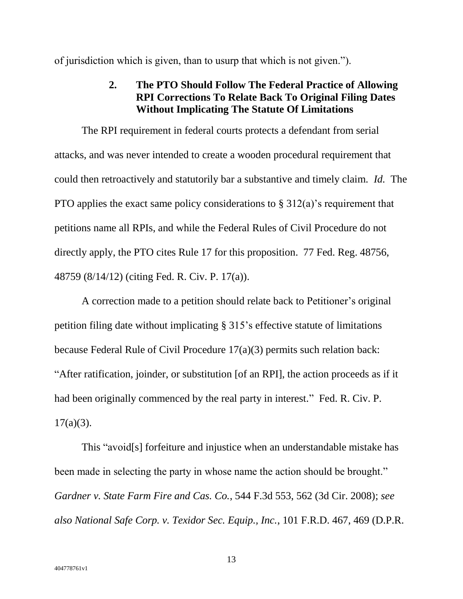of jurisdiction which is given, than to usurp that which is not given.").

## **2. The PTO Should Follow The Federal Practice of Allowing RPI Corrections To Relate Back To Original Filing Dates Without Implicating The Statute Of Limitations**

The RPI requirement in federal courts protects a defendant from serial attacks, and was never intended to create a wooden procedural requirement that could then retroactively and statutorily bar a substantive and timely claim. *Id.* The PTO applies the exact same policy considerations to § 312(a)'s requirement that petitions name all RPIs, and while the Federal Rules of Civil Procedure do not directly apply, the PTO cites Rule 17 for this proposition. 77 Fed. Reg. 48756, 48759 (8/14/12) (citing Fed. R. Civ. P. 17(a)).

A correction made to a petition should relate back to Petitioner's original petition filing date without implicating § 315's effective statute of limitations because Federal Rule of Civil Procedure 17(a)(3) permits such relation back: "After ratification, joinder, or substitution [of an RPI], the action proceeds as if it had been originally commenced by the real party in interest." Fed. R. Civ. P.  $17(a)(3)$ .

This "avoid[s] forfeiture and injustice when an understandable mistake has been made in selecting the party in whose name the action should be brought." *Gardner v. State Farm Fire and Cas. Co.*, 544 F.3d 553, 562 (3d Cir. 2008); *see also National Safe Corp. v. Texidor Sec. Equip., Inc.*, 101 F.R.D. 467, 469 (D.P.R.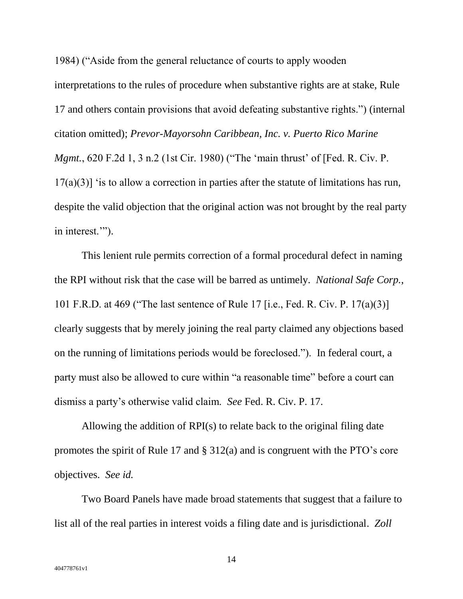1984) ("Aside from the general reluctance of courts to apply wooden interpretations to the rules of procedure when substantive rights are at stake, Rule 17 and others contain provisions that avoid defeating substantive rights.") (internal citation omitted); *Prevor-Mayorsohn Caribbean, Inc. v. Puerto Rico Marine Mgmt.*, 620 F.2d 1, 3 n.2 (1st Cir. 1980) ("The 'main thrust' of [Fed. R. Civ. P.  $17(a)(3)$  is to allow a correction in parties after the statute of limitations has run, despite the valid objection that the original action was not brought by the real party in interest.'").

This lenient rule permits correction of a formal procedural defect in naming the RPI without risk that the case will be barred as untimely. *National Safe Corp.*, 101 F.R.D. at 469 ("The last sentence of Rule 17 [i.e., Fed. R. Civ. P. 17(a)(3)] clearly suggests that by merely joining the real party claimed any objections based on the running of limitations periods would be foreclosed."). In federal court, a party must also be allowed to cure within "a reasonable time" before a court can dismiss a party's otherwise valid claim. *See* Fed. R. Civ. P. 17.

Allowing the addition of RPI(s) to relate back to the original filing date promotes the spirit of Rule 17 and § 312(a) and is congruent with the PTO's core objectives. *See id.* 

Two Board Panels have made broad statements that suggest that a failure to list all of the real parties in interest voids a filing date and is jurisdictional. *Zoll*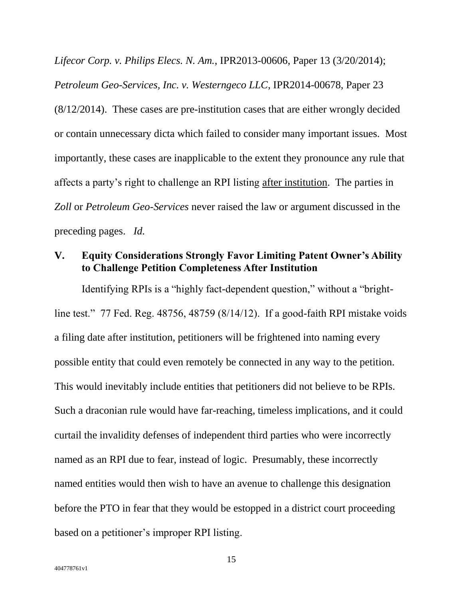*Lifecor Corp. v. Philips Elecs. N. Am.*, IPR2013-00606, Paper 13 (3/20/2014); *Petroleum Geo-Services, Inc. v. Westerngeco LLC*, IPR2014-00678, Paper 23 (8/12/2014). These cases are pre-institution cases that are either wrongly decided or contain unnecessary dicta which failed to consider many important issues. Most importantly, these cases are inapplicable to the extent they pronounce any rule that affects a party's right to challenge an RPI listing after institution. The parties in *Zoll* or *Petroleum Geo-Services* never raised the law or argument discussed in the preceding pages. *Id.*

### **V. Equity Considerations Strongly Favor Limiting Patent Owner's Ability to Challenge Petition Completeness After Institution**

Identifying RPIs is a "highly fact-dependent question," without a "brightline test." 77 Fed. Reg. 48756, 48759 (8/14/12). If a good-faith RPI mistake voids a filing date after institution, petitioners will be frightened into naming every possible entity that could even remotely be connected in any way to the petition. This would inevitably include entities that petitioners did not believe to be RPIs. Such a draconian rule would have far-reaching, timeless implications, and it could curtail the invalidity defenses of independent third parties who were incorrectly named as an RPI due to fear, instead of logic. Presumably, these incorrectly named entities would then wish to have an avenue to challenge this designation before the PTO in fear that they would be estopped in a district court proceeding based on a petitioner's improper RPI listing.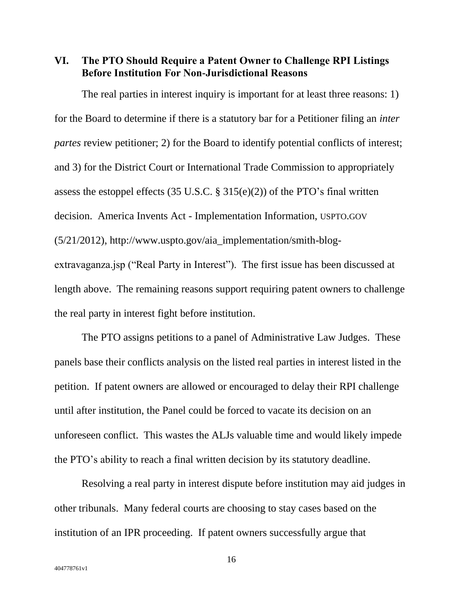**VI. The PTO Should Require a Patent Owner to Challenge RPI Listings Before Institution For Non-Jurisdictional Reasons**

The real parties in interest inquiry is important for at least three reasons: 1) for the Board to determine if there is a statutory bar for a Petitioner filing an *inter partes* review petitioner; 2) for the Board to identify potential conflicts of interest; and 3) for the District Court or International Trade Commission to appropriately assess the estoppel effects (35 U.S.C.  $\S$  315(e)(2)) of the PTO's final written decision. America Invents Act - Implementation Information, USPTO.GOV (5/21/2012), http://www.uspto.gov/aia\_implementation/smith-blogextravaganza.jsp ("Real Party in Interest"). The first issue has been discussed at length above. The remaining reasons support requiring patent owners to challenge the real party in interest fight before institution.

The PTO assigns petitions to a panel of Administrative Law Judges. These panels base their conflicts analysis on the listed real parties in interest listed in the petition. If patent owners are allowed or encouraged to delay their RPI challenge until after institution, the Panel could be forced to vacate its decision on an unforeseen conflict. This wastes the ALJs valuable time and would likely impede the PTO's ability to reach a final written decision by its statutory deadline.

Resolving a real party in interest dispute before institution may aid judges in other tribunals. Many federal courts are choosing to stay cases based on the institution of an IPR proceeding. If patent owners successfully argue that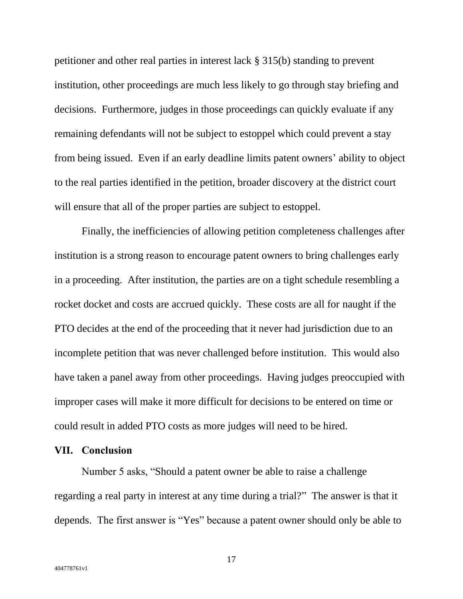petitioner and other real parties in interest lack § 315(b) standing to prevent institution, other proceedings are much less likely to go through stay briefing and decisions. Furthermore, judges in those proceedings can quickly evaluate if any remaining defendants will not be subject to estoppel which could prevent a stay from being issued. Even if an early deadline limits patent owners' ability to object to the real parties identified in the petition, broader discovery at the district court will ensure that all of the proper parties are subject to estoppel.

Finally, the inefficiencies of allowing petition completeness challenges after institution is a strong reason to encourage patent owners to bring challenges early in a proceeding. After institution, the parties are on a tight schedule resembling a rocket docket and costs are accrued quickly. These costs are all for naught if the PTO decides at the end of the proceeding that it never had jurisdiction due to an incomplete petition that was never challenged before institution. This would also have taken a panel away from other proceedings. Having judges preoccupied with improper cases will make it more difficult for decisions to be entered on time or could result in added PTO costs as more judges will need to be hired.

### **VII. Conclusion**

Number 5 asks, "Should a patent owner be able to raise a challenge regarding a real party in interest at any time during a trial?" The answer is that it depends. The first answer is "Yes" because a patent owner should only be able to